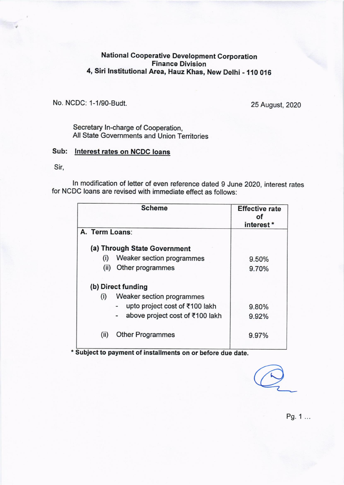## National Cooperative Development Corporation Finance Division 4, Siri lnstitutional Area, Hauz Khas, New Delhi - 110 016

No. NCDC: 1-1l9O-Budt. 25 August, 2020

Secretary ln-charge of Cooperation, All State Governments and Union Territories

## Sub: Interest rates on NCDC loans

Sir,

ln modification of letter of even reference dated g June 2020, interest rates for NCDC loans are revised with immediate effect as follows:

|                | <b>Effective rate</b><br>ΩŤ<br>interest* |       |  |  |
|----------------|------------------------------------------|-------|--|--|
| A. Term Loans: |                                          |       |  |  |
|                | (a) Through State Government             |       |  |  |
| (i)            | Weaker section programmes                | 9.50% |  |  |
| (ii)           | Other programmes                         | 9.70% |  |  |
|                | (b) Direct funding                       |       |  |  |
| (i)            | Weaker section programmes                |       |  |  |
|                | upto project cost of ₹100 lakh           | 9.80% |  |  |
|                | above project cost of ₹100 lakh          | 9.92% |  |  |
| (ii)           | <b>Other Programmes</b>                  | 9.97% |  |  |
|                |                                          |       |  |  |

' Subject to payment of installments on or before due date.

Pg. 1 ...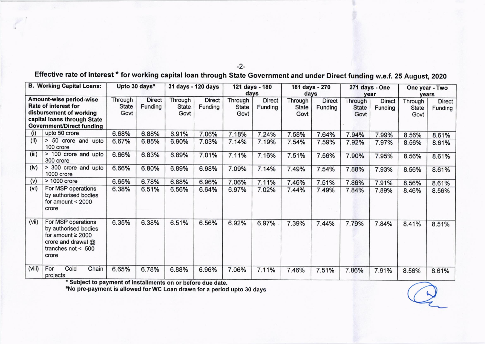| <b>B. Working Capital Loans:</b>                                                                                                                            |                                                                                                                             | Upto 30 days <sup>a</sup>       |                          | 31 days - 120 days              |                          | 121 days - 180<br>days          |                          | 181 days - 270<br>days          |                          | 271 days - One<br>year          |                          | One year - Two<br>vears         |                          |
|-------------------------------------------------------------------------------------------------------------------------------------------------------------|-----------------------------------------------------------------------------------------------------------------------------|---------------------------------|--------------------------|---------------------------------|--------------------------|---------------------------------|--------------------------|---------------------------------|--------------------------|---------------------------------|--------------------------|---------------------------------|--------------------------|
| <b>Amount-wise period-wise</b><br><b>Rate of interest for</b><br>disbursement of working<br>capital loans through State<br><b>Government/Direct funding</b> |                                                                                                                             | Through<br><b>State</b><br>Govt | <b>Direct</b><br>Funding | Through<br><b>State</b><br>Govt | <b>Direct</b><br>Funding | Through<br><b>State</b><br>Govt | <b>Direct</b><br>Funding | Through<br><b>State</b><br>Govt | <b>Direct</b><br>Funding | Through<br><b>State</b><br>Govt | <b>Direct</b><br>Funding | Through<br><b>State</b><br>Govt | <b>Direct</b><br>Funding |
| (i)                                                                                                                                                         | upto 50 crore                                                                                                               | 6.68%                           | 6.88%                    | 6.91%                           | 7.06%                    | 7.18%                           | 7.24%                    | 7.58%                           | 7.64%                    | 7.94%                           | 7.99%                    | 8.56%                           | 8.61%                    |
| (iii)                                                                                                                                                       | > 50 crore and upto<br>100 crore                                                                                            | 6.67%                           | 6.85%                    | 6.90%                           | 7.03%                    | 7.14%                           | 7.19%                    | 7.54%                           | 7.59%                    | 7.92%                           | 7.97%                    | 8.56%                           | 8.61%                    |
| (iii)                                                                                                                                                       | > 100 crore and upto<br>300 crore                                                                                           | 6.66%                           | 6.83%                    | 6.89%                           | 7.01%                    | 7.11%                           | 7.16%                    | 7.51%                           | 7.56%                    | 7.90%                           | 7.95%                    | 8.56%                           | 8.61%                    |
| (iv)                                                                                                                                                        | > 300 crore and upto<br>1000 crore                                                                                          | 6.66%                           | 6.80%                    | 6.89%                           | 6.98%                    | 7.09%                           | 7.14%                    | 7.49%                           | 7.54%                    | 7.88%                           | 7.93%                    | 8.56%                           | 8.61%                    |
| (v)                                                                                                                                                         | > 1000 crore                                                                                                                | 6.65%                           | 6.78%                    | 6.88%                           | 6.96%                    | 7.06%                           | 7.11%                    | 7.46%                           | 7.51%                    | 7.86%                           | 7.91%                    | 8.56%                           | 8.61%                    |
| (vi)                                                                                                                                                        | For MSP operations<br>by authorised bodies<br>for amount $<$ 2000<br>crore                                                  | 6.38%                           | 6.51%                    | 6.56%                           | 6.64%                    | 6.97%                           | 7.02%                    | 7.44%                           | 7.49%                    | 7.84%                           | 7.89%                    | 8.46%                           | 8.56%                    |
| (vii)                                                                                                                                                       | For MSP operations<br>by authorised bodies<br>for amount $\geq 2000$<br>crore and drawal @<br>tranches not $< 500$<br>crore | 6.35%                           | 6.38%                    | 6.51%                           | 6.56%                    | 6.92%                           | 6.97%                    | 7.39%                           | 7.44%                    | 7.79%                           | 7.84%                    | 8.41%                           | 8.51%                    |
| (viii)                                                                                                                                                      | Cold<br>Chain<br>For<br>projects                                                                                            | 6.65%                           | 6.78%                    | 6.88%                           | 6.96%                    | 7.06%                           | 7.11%                    | 7.46%                           | 7.51%                    | 7.86%                           | 7.91%                    | 8.56%                           | 8.61%                    |

Effective rate of interest \* for working capital loan through State Government and under Direct funding w.e.f. 25 August, 2020

\* Subject to payment of installments on or before due date.<br><sup>a</sup>No pre-payment is allowed for WC Loan drawn for a period upto 30 days

## $-2-$